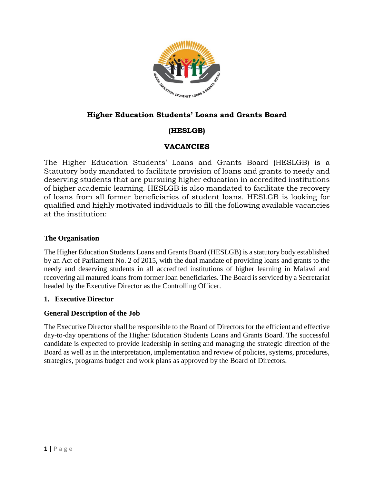

# **Higher Education Students' Loans and Grants Board**

# **(HESLGB)**

# **VACANCIES**

The Higher Education Students' Loans and Grants Board (HESLGB) is a Statutory body mandated to facilitate provision of loans and grants to needy and deserving students that are pursuing higher education in accredited institutions of higher academic learning. HESLGB is also mandated to facilitate the recovery of loans from all former beneficiaries of student loans. HESLGB is looking for qualified and highly motivated individuals to fill the following available vacancies at the institution:

#### **The Organisation**

The Higher Education Students Loans and Grants Board (HESLGB) is a statutory body established by an Act of Parliament No. 2 of 2015, with the dual mandate of providing loans and grants to the needy and deserving students in all accredited institutions of higher learning in Malawi and recovering all matured loans from former loan beneficiaries. The Board is serviced by a Secretariat headed by the Executive Director as the Controlling Officer.

#### **1. Executive Director**

#### **General Description of the Job**

The Executive Director shall be responsible to the Board of Directors for the efficient and effective day-to-day operations of the Higher Education Students Loans and Grants Board. The successful candidate is expected to provide leadership in setting and managing the strategic direction of the Board as well as in the interpretation, implementation and review of policies, systems, procedures, strategies, programs budget and work plans as approved by the Board of Directors.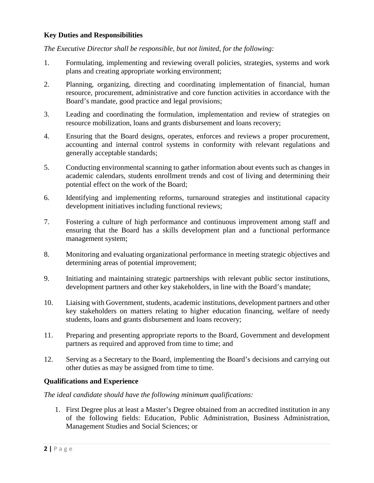#### **Key Duties and Responsibilities**

*The Executive Director shall be responsible, but not limited, for the following:*

- 1. Formulating, implementing and reviewing overall policies, strategies, systems and work plans and creating appropriate working environment;
- 2. Planning, organizing, directing and coordinating implementation of financial, human resource, procurement, administrative and core function activities in accordance with the Board's mandate, good practice and legal provisions;
- 3. Leading and coordinating the formulation, implementation and review of strategies on resource mobilization, loans and grants disbursement and loans recovery;
- 4. Ensuring that the Board designs, operates, enforces and reviews a proper procurement, accounting and internal control systems in conformity with relevant regulations and generally acceptable standards;
- 5. Conducting environmental scanning to gather information about events such as changes in academic calendars, students enrollment trends and cost of living and determining their potential effect on the work of the Board;
- 6. Identifying and implementing reforms, turnaround strategies and institutional capacity development initiatives including functional reviews;
- 7. Fostering a culture of high performance and continuous improvement among staff and ensuring that the Board has a skills development plan and a functional performance management system;
- 8. Monitoring and evaluating organizational performance in meeting strategic objectives and determining areas of potential improvement;
- 9. Initiating and maintaining strategic partnerships with relevant public sector institutions, development partners and other key stakeholders, in line with the Board's mandate;
- 10. Liaising with Government, students, academic institutions, development partners and other key stakeholders on matters relating to higher education financing, welfare of needy students, loans and grants disbursement and loans recovery;
- 11. Preparing and presenting appropriate reports to the Board, Government and development partners as required and approved from time to time; and
- 12. Serving as a Secretary to the Board, implementing the Board's decisions and carrying out other duties as may be assigned from time to time.

#### **Qualifications and Experience**

*The ideal candidate should have the following minimum qualifications:*

1. First Degree plus at least a Master's Degree obtained from an accredited institution in any of the following fields: Education, Public Administration, Business Administration, Management Studies and Social Sciences; or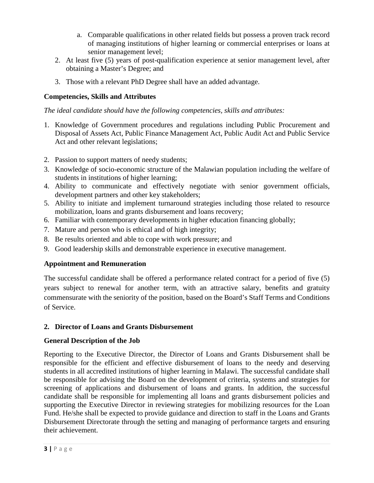- a. Comparable qualifications in other related fields but possess a proven track record of managing institutions of higher learning or commercial enterprises or loans at senior management level;
- 2. At least five (5) years of post-qualification experience at senior management level, after obtaining a Master's Degree; and
- 3. Those with a relevant PhD Degree shall have an added advantage.

### **Competencies, Skills and Attributes**

*The ideal candidate should have the following competencies, skills and attributes:*

- 1. Knowledge of Government procedures and regulations including Public Procurement and Disposal of Assets Act, Public Finance Management Act, Public Audit Act and Public Service Act and other relevant legislations;
- 2. Passion to support matters of needy students;
- 3. Knowledge of socio-economic structure of the Malawian population including the welfare of students in institutions of higher learning;
- 4. Ability to communicate and effectively negotiate with senior government officials, development partners and other key stakeholders;
- 5. Ability to initiate and implement turnaround strategies including those related to resource mobilization, loans and grants disbursement and loans recovery;
- 6. Familiar with contemporary developments in higher education financing globally;
- 7. Mature and person who is ethical and of high integrity;
- 8. Be results oriented and able to cope with work pressure; and
- 9. Good leadership skills and demonstrable experience in executive management.

#### **Appointment and Remuneration**

The successful candidate shall be offered a performance related contract for a period of five (5) years subject to renewal for another term, with an attractive salary, benefits and gratuity commensurate with the seniority of the position, based on the Board's Staff Terms and Conditions of Service.

#### **2. Director of Loans and Grants Disbursement**

#### **General Description of the Job**

Reporting to the Executive Director, the Director of Loans and Grants Disbursement shall be responsible for the efficient and effective disbursement of loans to the needy and deserving students in all accredited institutions of higher learning in Malawi. The successful candidate shall be responsible for advising the Board on the development of criteria, systems and strategies for screening of applications and disbursement of loans and grants. In addition, the successful candidate shall be responsible for implementing all loans and grants disbursement policies and supporting the Executive Director in reviewing strategies for mobilizing resources for the Loan Fund. He/she shall be expected to provide guidance and direction to staff in the Loans and Grants Disbursement Directorate through the setting and managing of performance targets and ensuring their achievement.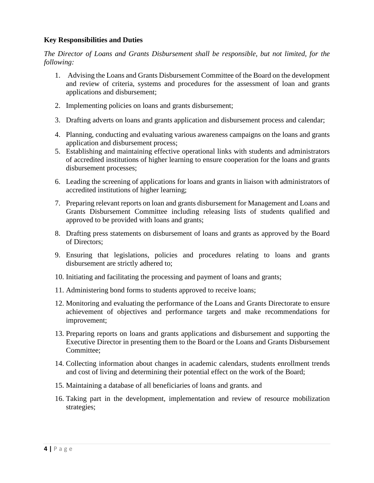#### **Key Responsibilities and Duties**

*The Director of Loans and Grants Disbursement shall be responsible, but not limited, for the following:*

- 1. Advising the Loans and Grants Disbursement Committee of the Board on the development and review of criteria, systems and procedures for the assessment of loan and grants applications and disbursement;
- 2. Implementing policies on loans and grants disbursement;
- 3. Drafting adverts on loans and grants application and disbursement process and calendar;
- 4. Planning, conducting and evaluating various awareness campaigns on the loans and grants application and disbursement process;
- 5. Establishing and maintaining effective operational links with students and administrators of accredited institutions of higher learning to ensure cooperation for the loans and grants disbursement processes;
- 6. Leading the screening of applications for loans and grants in liaison with administrators of accredited institutions of higher learning;
- 7. Preparing relevant reports on loan and grants disbursement for Management and Loans and Grants Disbursement Committee including releasing lists of students qualified and approved to be provided with loans and grants;
- 8. Drafting press statements on disbursement of loans and grants as approved by the Board of Directors;
- 9. Ensuring that legislations, policies and procedures relating to loans and grants disbursement are strictly adhered to;
- 10. Initiating and facilitating the processing and payment of loans and grants;
- 11. Administering bond forms to students approved to receive loans;
- 12. Monitoring and evaluating the performance of the Loans and Grants Directorate to ensure achievement of objectives and performance targets and make recommendations for improvement;
- 13. Preparing reports on loans and grants applications and disbursement and supporting the Executive Director in presenting them to the Board or the Loans and Grants Disbursement Committee;
- 14. Collecting information about changes in academic calendars, students enrollment trends and cost of living and determining their potential effect on the work of the Board;
- 15. Maintaining a database of all beneficiaries of loans and grants. and
- 16. Taking part in the development, implementation and review of resource mobilization strategies;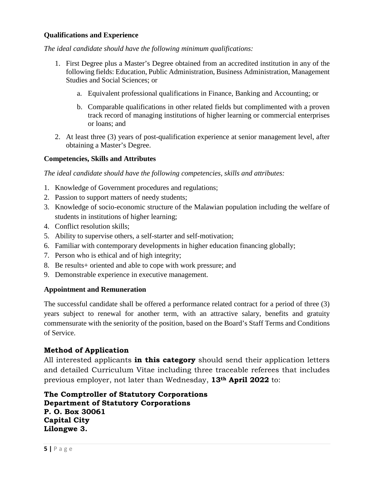#### **Qualifications and Experience**

*The ideal candidate should have the following minimum qualifications:*

- 1. First Degree plus a Master's Degree obtained from an accredited institution in any of the following fields: Education, Public Administration, Business Administration, Management Studies and Social Sciences; or
	- a. Equivalent professional qualifications in Finance, Banking and Accounting; or
	- b. Comparable qualifications in other related fields but complimented with a proven track record of managing institutions of higher learning or commercial enterprises or loans; and
- 2. At least three (3) years of post-qualification experience at senior management level, after obtaining a Master's Degree.

#### **Competencies, Skills and Attributes**

*The ideal candidate should have the following competencies, skills and attributes:*

- 1. Knowledge of Government procedures and regulations;
- 2. Passion to support matters of needy students;
- 3. Knowledge of socio-economic structure of the Malawian population including the welfare of students in institutions of higher learning;
- 4. Conflict resolution skills;
- 5. Ability to supervise others, a self-starter and self-motivation;
- 6. Familiar with contemporary developments in higher education financing globally;
- 7. Person who is ethical and of high integrity;
- 8. Be results+ oriented and able to cope with work pressure; and
- 9. Demonstrable experience in executive management.

#### **Appointment and Remuneration**

The successful candidate shall be offered a performance related contract for a period of three (3) years subject to renewal for another term, with an attractive salary, benefits and gratuity commensurate with the seniority of the position, based on the Board's Staff Terms and Conditions of Service.

#### **Method of Application**

All interested applicants **in this category** should send their application letters and detailed Curriculum Vitae including three traceable referees that includes previous employer, not later than Wednesday, **13th April 2022** to:

**The Comptroller of Statutory Corporations Department of Statutory Corporations P. O. Box 30061 Capital City Lilongwe 3.**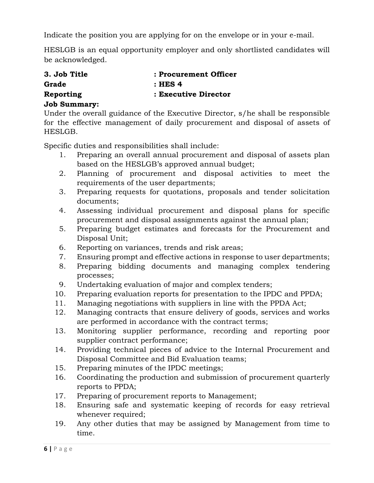Indicate the position you are applying for on the envelope or in your e-mail.

HESLGB is an equal opportunity employer and only shortlisted candidates will be acknowledged.

| 3. Job Title | : Procurement Officer |
|--------------|-----------------------|
| Grade        | $:$ HES 4             |
| Reporting    | : Executive Director  |

### **Job Summary:**

Under the overall guidance of the Executive Director, s/he shall be responsible for the effective management of daily procurement and disposal of assets of HESLGB.

Specific duties and responsibilities shall include:

- 1. Preparing an overall annual procurement and disposal of assets plan based on the HESLGB's approved annual budget;
- 2. Planning of procurement and disposal activities to meet the requirements of the user departments;
- 3. Preparing requests for quotations, proposals and tender solicitation documents;
- 4. Assessing individual procurement and disposal plans for specific procurement and disposal assignments against the annual plan;
- 5. Preparing budget estimates and forecasts for the Procurement and Disposal Unit;
- 6. Reporting on variances, trends and risk areas;
- 7. Ensuring prompt and effective actions in response to user departments;
- 8. Preparing bidding documents and managing complex tendering processes;
- 9. Undertaking evaluation of major and complex tenders;
- 10. Preparing evaluation reports for presentation to the IPDC and PPDA;
- 11. Managing negotiations with suppliers in line with the PPDA Act;
- 12. Managing contracts that ensure delivery of goods, services and works are performed in accordance with the contract terms;
- 13. Monitoring supplier performance, recording and reporting poor supplier contract performance;
- 14. Providing technical pieces of advice to the Internal Procurement and Disposal Committee and Bid Evaluation teams;
- 15. Preparing minutes of the IPDC meetings;
- 16. Coordinating the production and submission of procurement quarterly reports to PPDA;
- 17. Preparing of procurement reports to Management;
- 18. Ensuring safe and systematic keeping of records for easy retrieval whenever required;
- 19. Any other duties that may be assigned by Management from time to time.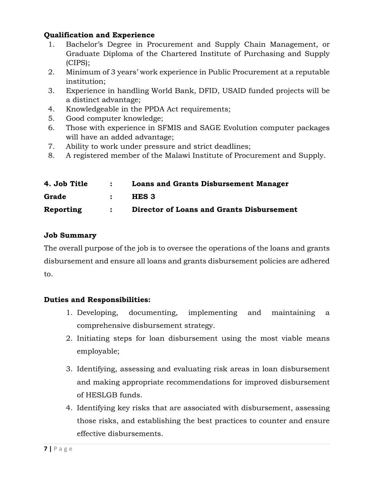## **Qualification and Experience**

- 1. Bachelor's Degree in Procurement and Supply Chain Management, or Graduate Diploma of the Chartered Institute of Purchasing and Supply (CIPS);
- 2. Minimum of 3 years' work experience in Public Procurement at a reputable institution;
- 3. Experience in handling World Bank, DFID, USAID funded projects will be a distinct advantage;
- 4. Knowledgeable in the PPDA Act requirements;
- 5. Good computer knowledge;
- 6. Those with experience in SFMIS and SAGE Evolution computer packages will have an added advantage;
- 7. Ability to work under pressure and strict deadlines;
- 8. A registered member of the Malawi Institute of Procurement and Supply.

| 4. Job Title | $\mathbf{1}$ and $\mathbf{2}$ and $\mathbf{3}$ | <b>Loans and Grants Disbursement Manager</b> |
|--------------|------------------------------------------------|----------------------------------------------|
| Grade        | $\mathcal{L}$ , $\mathcal{L}$                  | HES 3                                        |
| Reporting    |                                                | : Director of Loans and Grants Disbursement  |

## **Job Summary**

The overall purpose of the job is to oversee the operations of the loans and grants disbursement and ensure all loans and grants disbursement policies are adhered to.

## **Duties and Responsibilities:**

- 1. Developing, documenting, implementing and maintaining a comprehensive disbursement strategy.
- 2. Initiating steps for loan disbursement using the most viable means employable;
- 3. Identifying, assessing and evaluating risk areas in loan disbursement and making appropriate recommendations for improved disbursement of HESLGB funds.
- 4. Identifying key risks that are associated with disbursement, assessing those risks, and establishing the best practices to counter and ensure effective disbursements.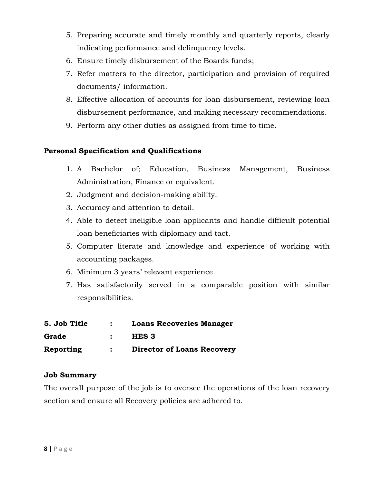- 5. Preparing accurate and timely monthly and quarterly reports, clearly indicating performance and delinquency levels.
- 6. Ensure timely disbursement of the Boards funds;
- 7. Refer matters to the director, participation and provision of required documents/ information.
- 8. Effective allocation of accounts for loan disbursement, reviewing loan disbursement performance, and making necessary recommendations.
- 9. Perform any other duties as assigned from time to time.

## **Personal Specification and Qualifications**

- 1. A Bachelor of; Education, Business Management, Business Administration, Finance or equivalent.
- 2. Judgment and decision-making ability.
- 3. Accuracy and attention to detail.
- 4. Able to detect ineligible loan applicants and handle difficult potential loan beneficiaries with diplomacy and tact.
- 5. Computer literate and knowledge and experience of working with accounting packages.
- 6. Minimum 3 years' relevant experience.
- 7. Has satisfactorily served in a comparable position with similar responsibilities.

| 5. Job Title | <b>Loans Recoveries Manager</b>   |
|--------------|-----------------------------------|
| Grade        | HES 3                             |
| Reporting    | <b>Director of Loans Recovery</b> |

## **Job Summary**

The overall purpose of the job is to oversee the operations of the loan recovery section and ensure all Recovery policies are adhered to.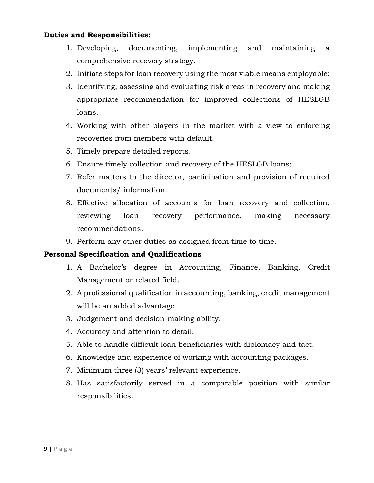#### **Duties and Responsibilities:**

- 1. Developing, documenting, implementing and maintaining a comprehensive recovery strategy.
- 2. Initiate steps for loan recovery using the most viable means employable;
- 3. Identifying, assessing and evaluating risk areas in recovery and making appropriate recommendation for improved collections of HESLGB loans.
- 4. Working with other players in the market with a view to enforcing recoveries from members with default.
- 5. Timely prepare detailed reports.
- 6. Ensure timely collection and recovery of the HESLGB loans;
- 7. Refer matters to the director, participation and provision of required documents/ information.
- 8. Effective allocation of accounts for loan recovery and collection, reviewing loan recovery performance, making necessary recommendations.
- 9. Perform any other duties as assigned from time to time.

#### **Personal Specification and Qualifications**

- 1. A Bachelor's degree in Accounting, Finance, Banking, Credit Management or related field.
- 2. A professional qualification in accounting, banking, credit management will be an added advantage
- 3. Judgement and decision-making ability.
- 4. Accuracy and attention to detail.
- 5. Able to handle difficult loan beneficiaries with diplomacy and tact.
- 6. Knowledge and experience of working with accounting packages.
- 7. Minimum three (3) years' relevant experience.
- 8. Has satisfactorily served in a comparable position with similar responsibilities.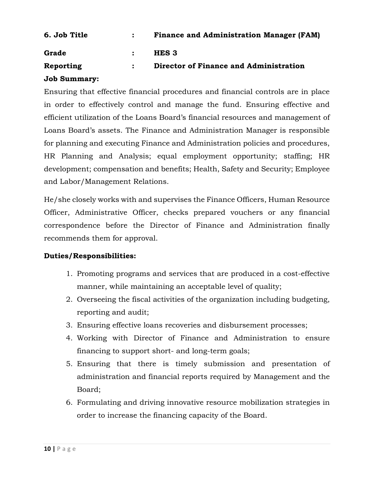| 6. Job Title | <b>Finance and Administration Manager (FAM)</b> |
|--------------|-------------------------------------------------|
| Grade        | HES 3                                           |
| Reporting    | Director of Finance and Administration          |

### **Job Summary:**

Ensuring that effective financial procedures and financial controls are in place in order to effectively control and manage the fund. Ensuring effective and efficient utilization of the Loans Board's financial resources and management of Loans Board's assets. The Finance and Administration Manager is responsible for planning and executing Finance and Administration policies and procedures, HR Planning and Analysis; equal employment opportunity; staffing; HR development; compensation and benefits; Health, Safety and Security; Employee and Labor/Management Relations.

He/she closely works with and supervises the Finance Officers, Human Resource Officer, Administrative Officer, checks prepared vouchers or any financial correspondence before the Director of Finance and Administration finally recommends them for approval.

## **Duties/Responsibilities:**

- 1. Promoting programs and services that are produced in a cost-effective manner, while maintaining an acceptable level of quality;
- 2. Overseeing the fiscal activities of the organization including budgeting, reporting and audit;
- 3. Ensuring effective loans recoveries and disbursement processes;
- 4. Working with Director of Finance and Administration to ensure financing to support short- and long-term goals;
- 5. Ensuring that there is timely submission and presentation of administration and financial reports required by Management and the Board;
- 6. Formulating and driving innovative resource mobilization strategies in order to increase the financing capacity of the Board.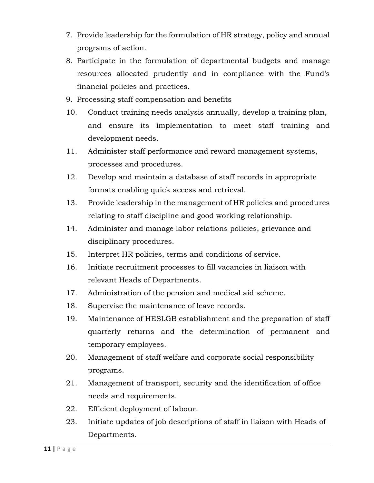- 7. Provide leadership for the formulation of HR strategy, policy and annual programs of action.
- 8. Participate in the formulation of departmental budgets and manage resources allocated prudently and in compliance with the Fund's financial policies and practices.
- 9. Processing staff compensation and benefits
- 10. Conduct training needs analysis annually, develop a training plan, and ensure its implementation to meet staff training and development needs.
- 11. Administer staff performance and reward management systems, processes and procedures.
- 12. Develop and maintain a database of staff records in appropriate formats enabling quick access and retrieval.
- 13. Provide leadership in the management of HR policies and procedures relating to staff discipline and good working relationship.
- 14. Administer and manage labor relations policies, grievance and disciplinary procedures.
- 15. Interpret HR policies, terms and conditions of service.
- 16. Initiate recruitment processes to fill vacancies in liaison with relevant Heads of Departments.
- 17. Administration of the pension and medical aid scheme.
- 18. Supervise the maintenance of leave records.
- 19. Maintenance of HESLGB establishment and the preparation of staff quarterly returns and the determination of permanent and temporary employees.
- 20. Management of staff welfare and corporate social responsibility programs.
- 21. Management of transport, security and the identification of office needs and requirements.
- 22. Efficient deployment of labour.
- 23. Initiate updates of job descriptions of staff in liaison with Heads of Departments.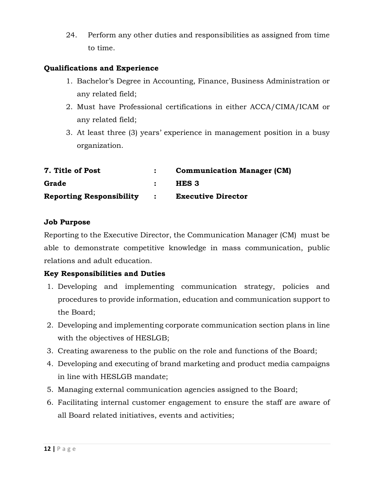24. Perform any other duties and responsibilities as assigned from time to time.

### **Qualifications and Experience**

- 1. Bachelor's Degree in Accounting, Finance, Business Administration or any related field;
- 2. Must have Professional certifications in either ACCA/CIMA/ICAM or any related field;
- 3. At least three (3) years' experience in management position in a busy organization.

| 7. Title of Post                | <b>Communication Manager (CM)</b> |
|---------------------------------|-----------------------------------|
| Grade                           | HES 3                             |
| <b>Reporting Responsibility</b> | <b>Executive Director</b>         |

### **Job Purpose**

Reporting to the Executive Director, the Communication Manager (CM) must be able to demonstrate competitive knowledge in mass communication, public relations and adult education.

## **Key Responsibilities and Duties**

- 1. Developing and implementing communication strategy, policies and procedures to provide information, education and communication support to the Board;
- 2. Developing and implementing corporate communication section plans in line with the objectives of HESLGB;
- 3. Creating awareness to the public on the role and functions of the Board;
- 4. Developing and executing of brand marketing and product media campaigns in line with HESLGB mandate;
- 5. Managing external communication agencies assigned to the Board;
- 6. Facilitating internal customer engagement to ensure the staff are aware of all Board related initiatives, events and activities;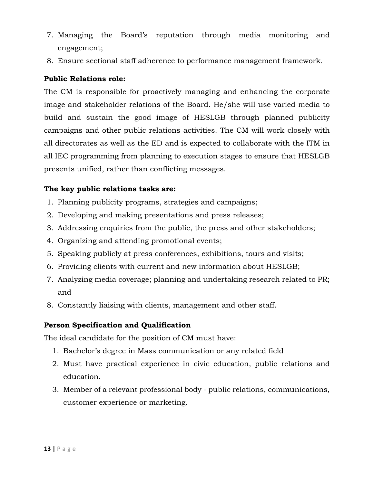- 7. Managing the Board's reputation through media monitoring and engagement;
- 8. Ensure sectional staff adherence to performance management framework.

## **Public Relations role:**

The CM is responsible for proactively managing and enhancing the corporate image and stakeholder relations of the Board. He/she will use varied media to build and sustain the good image of HESLGB through planned publicity campaigns and other public relations activities. The CM will work closely with all directorates as well as the ED and is expected to collaborate with the ITM in all IEC programming from planning to execution stages to ensure that HESLGB presents unified, rather than conflicting messages.

## **The key public relations tasks are:**

- 1. Planning publicity programs, strategies and campaigns;
- 2. Developing and making presentations and press releases;
- 3. Addressing enquiries from the public, the press and other stakeholders;
- 4. Organizing and attending promotional events;
- 5. Speaking publicly at press conferences, exhibitions, tours and visits;
- 6. Providing clients with current and new information about HESLGB;
- 7. Analyzing media coverage; planning and undertaking research related to PR; and
- 8. Constantly liaising with clients, management and other staff.

## **Person Specification and Qualification**

The ideal candidate for the position of CM must have:

- 1. Bachelor's degree in Mass communication or any related field
- 2. Must have practical experience in civic education, public relations and education.
- 3. Member of a relevant professional body public relations, communications, customer experience or marketing.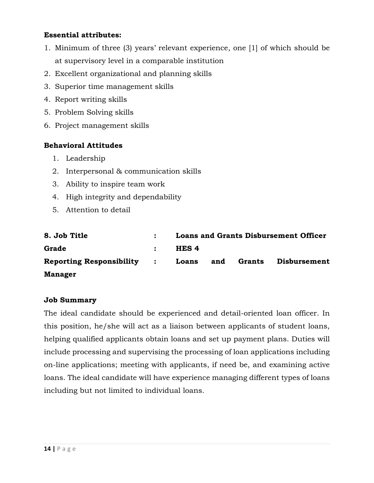## **Essential attributes:**

- 1. Minimum of three (3) years' relevant experience, one [1] of which should be at supervisory level in a comparable institution
- 2. Excellent organizational and planning skills
- 3. Superior time management skills
- 4. Report writing skills
- 5. Problem Solving skills
- 6. Project management skills

## **Behavioral Attitudes**

- 1. Leadership
- 2. Interpersonal & communication skills
- 3. Ability to inspire team work
- 4. High integrity and dependability
- 5. Attention to detail

| 8. Job Title                      | <b>Loans and Grants Disbursement Officer</b> |     |        |              |
|-----------------------------------|----------------------------------------------|-----|--------|--------------|
| Grade                             | HES <sub>4</sub>                             |     |        |              |
| <b>Reporting Responsibility :</b> | Loans                                        | and | Grants | Disbursement |
| <b>Manager</b>                    |                                              |     |        |              |

#### **Job Summary**

The ideal candidate should be experienced and detail-oriented loan officer. In this position, he/she will act as a liaison between applicants of student loans, helping qualified applicants obtain loans and set up payment plans. Duties will include processing and supervising the processing of loan applications including on-line applications; meeting with applicants, if need be, and examining active loans. The ideal candidate will have experience managing different types of loans including but not limited to individual loans.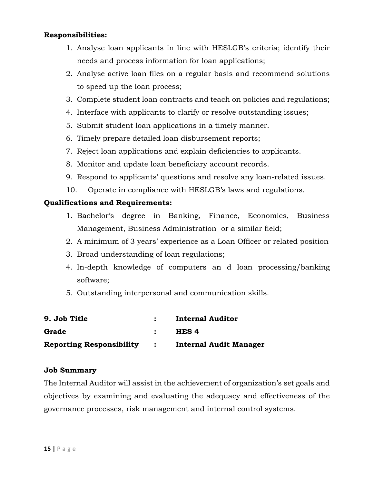### **Responsibilities:**

- 1. Analyse loan applicants in line with HESLGB's criteria; identify their needs and process information for loan applications;
- 2. Analyse active loan files on a regular basis and recommend solutions to speed up the loan process;
- 3. Complete student loan contracts and teach on policies and regulations;
- 4. Interface with applicants to clarify or resolve outstanding issues;
- 5. Submit student loan applications in a timely manner.
- 6. Timely prepare detailed loan disbursement reports;
- 7. Reject loan applications and explain deficiencies to applicants.
- 8. Monitor and update loan beneficiary account records.
- 9. Respond to applicants' questions and resolve any loan-related issues.
- 10. Operate in compliance with HESLGB's laws and regulations.

### **Qualifications and Requirements:**

- 1. Bachelor's degree in Banking, Finance, Economics, Business Management, Business Administration or a similar field;
- 2. A minimum of 3 years' experience as a Loan Officer or related position
- 3. Broad understanding of loan regulations;
- 4. In-depth knowledge of computers an d loan processing/banking software;
- 5. Outstanding interpersonal and communication skills.

| 9. Job Title                      | <b>Internal Auditor</b>       |
|-----------------------------------|-------------------------------|
| Grade                             | HES 4                         |
| <b>Reporting Responsibility :</b> | <b>Internal Audit Manager</b> |

#### **Job Summary**

The Internal Auditor will assist in the achievement of organization's set goals and objectives by examining and evaluating the adequacy and effectiveness of the governance processes, risk management and internal control systems.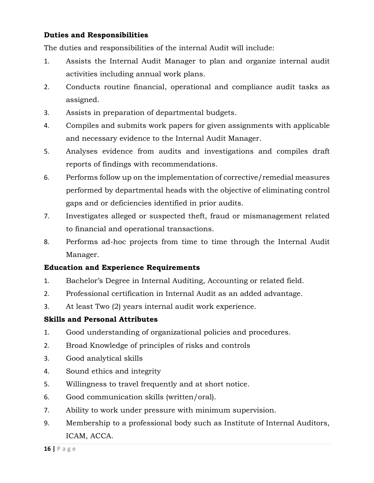## **Duties and Responsibilities**

The duties and responsibilities of the internal Audit will include:

- 1. Assists the Internal Audit Manager to plan and organize internal audit activities including annual work plans.
- 2. Conducts routine financial, operational and compliance audit tasks as assigned.
- 3. Assists in preparation of departmental budgets.
- 4. Compiles and submits work papers for given assignments with applicable and necessary evidence to the Internal Audit Manager.
- 5. Analyses evidence from audits and investigations and compiles draft reports of findings with recommendations.
- 6. Performs follow up on the implementation of corrective/remedial measures performed by departmental heads with the objective of eliminating control gaps and or deficiencies identified in prior audits.
- 7. Investigates alleged or suspected theft, fraud or mismanagement related to financial and operational transactions.
- 8. Performs ad-hoc projects from time to time through the Internal Audit Manager.

## **Education and Experience Requirements**

- 1. Bachelor's Degree in Internal Auditing, Accounting or related field.
- 2. Professional certification in Internal Audit as an added advantage.
- 3. At least Two (2) years internal audit work experience.

## **Skills and Personal Attributes**

- 1. Good understanding of organizational policies and procedures.
- 2. Broad Knowledge of principles of risks and controls
- 3. Good analytical skills
- 4. Sound ethics and integrity
- 5. Willingness to travel frequently and at short notice.
- 6. Good communication skills (written/oral).
- 7. Ability to work under pressure with minimum supervision.
- 9. Membership to a professional body such as Institute of Internal Auditors, ICAM, ACCA.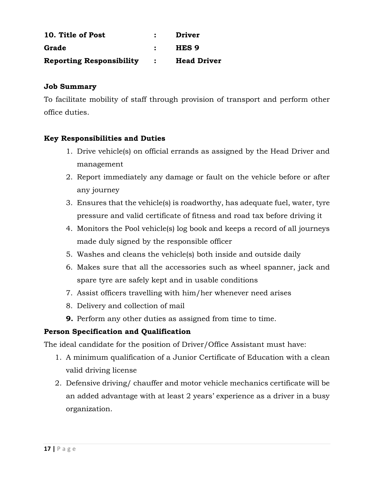| 10. Title of Post               |                                        | Driver             |
|---------------------------------|----------------------------------------|--------------------|
| Grade                           | $\bullet$ . The set of $\bullet$       | HES 9              |
| <b>Reporting Responsibility</b> | $\mathbf{L}$ . The set of $\mathbf{L}$ | <b>Head Driver</b> |

### **Job Summary**

To facilitate mobility of staff through provision of transport and perform other office duties.

## **Key Responsibilities and Duties**

- 1. Drive vehicle(s) on official errands as assigned by the Head Driver and management
- 2. Report immediately any damage or fault on the vehicle before or after any journey
- 3. Ensures that the vehicle(s) is roadworthy, has adequate fuel, water, tyre pressure and valid certificate of fitness and road tax before driving it
- 4. Monitors the Pool vehicle(s) log book and keeps a record of all journeys made duly signed by the responsible officer
- 5. Washes and cleans the vehicle(s) both inside and outside daily
- 6. Makes sure that all the accessories such as wheel spanner, jack and spare tyre are safely kept and in usable conditions
- 7. Assist officers travelling with him/her whenever need arises
- 8. Delivery and collection of mail
- **9.** Perform any other duties as assigned from time to time.

## **Person Specification and Qualification**

The ideal candidate for the position of Driver/Office Assistant must have:

- 1. A minimum qualification of a Junior Certificate of Education with a clean valid driving license
- 2. Defensive driving/ chauffer and motor vehicle mechanics certificate will be an added advantage with at least 2 years' experience as a driver in a busy organization.